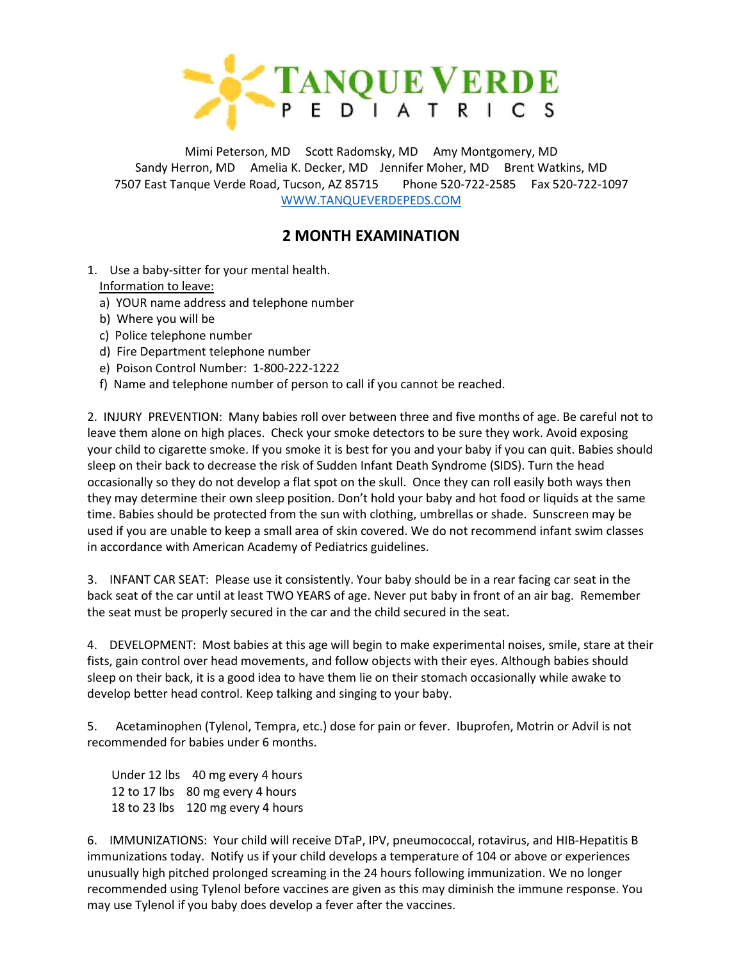

Mimi Peterson, MD Scott Radomsky, MD Amy Montgomery, MD Sandy Herron, MD Amelia K. Decker, MD Jennifer Moher, MD Brent Watkins, MD 7507 East Tanque Verde Road, Tucson, AZ 85715 Phone 520-722-2585 Fax 520-722-1097 [WWW.TANQUEVERDEPEDS.COM](http://www.tanqueverdepeds.com/)

## **2 MONTH EXAMINATION**

- 1. Use a baby-sitter for your mental health. Information to leave:
	- a) YOUR name address and telephone number
	- b) Where you will be
	- c) Police telephone number
	- d) Fire Department telephone number
	- e) Poison Control Number: 1-800-222-1222
	- f) Name and telephone number of person to call if you cannot be reached.

2. INJURY PREVENTION: Many babies roll over between three and five months of age. Be careful not to leave them alone on high places. Check your smoke detectors to be sure they work. Avoid exposing your child to cigarette smoke. If you smoke it is best for you and your baby if you can quit. Babies should sleep on their back to decrease the risk of Sudden Infant Death Syndrome (SIDS). Turn the head occasionally so they do not develop a flat spot on the skull. Once they can roll easily both ways then they may determine their own sleep position. Don't hold your baby and hot food or liquids at the same time. Babies should be protected from the sun with clothing, umbrellas or shade. Sunscreen may be used if you are unable to keep a small area of skin covered. We do not recommend infant swim classes in accordance with American Academy of Pediatrics guidelines.

3. INFANT CAR SEAT: Please use it consistently. Your baby should be in a rear facing car seat in the back seat of the car until at least TWO YEARS of age. Never put baby in front of an air bag. Remember the seat must be properly secured in the car and the child secured in the seat.

4. DEVELOPMENT: Most babies at this age will begin to make experimental noises, smile, stare at their fists, gain control over head movements, and follow objects with their eyes. Although babies should sleep on their back, it is a good idea to have them lie on their stomach occasionally while awake to develop better head control. Keep talking and singing to your baby.

5. Acetaminophen (Tylenol, Tempra, etc.) dose for pain or fever. Ibuprofen, Motrin or Advil is not recommended for babies under 6 months.

 Under 12 lbs 40 mg every 4 hours 12 to 17 lbs 80 mg every 4 hours 18 to 23 lbs 120 mg every 4 hours

6. IMMUNIZATIONS: Your child will receive DTaP, IPV, pneumococcal, rotavirus, and HIB-Hepatitis B immunizations today. Notify us if your child develops a temperature of 104 or above or experiences unusually high pitched prolonged screaming in the 24 hours following immunization. We no longer recommended using Tylenol before vaccines are given as this may diminish the immune response. You may use Tylenol if you baby does develop a fever after the vaccines.